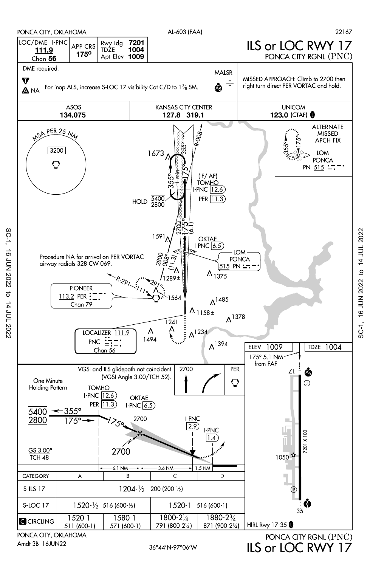

Amdt 3B 16JUN22

SC-1, 16 JUN 2022 to 14 JUL 2022

 $\vec{\sigma}$ 

14 JUL 2022

**16 JUN 2022** 

 $SC-1$ ,

ILS or LOC RWY 17

SC-1, 16 JUN 2022 to 14 JUL 2022 SC-1, 16 JUN 2022 to 14 JUL 2022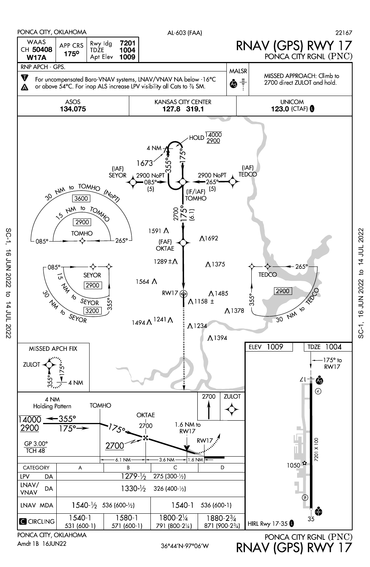

Amdt 1B 16JUN22

SC-1, 16 JUN 2022 to 14 JUL 2022

 $\sigma$ 

14 JUL 2022

**16 JUN 2022** 

 $SC-1$ ,

36°44'N-97°06'W RNAV (GPS) RWY 17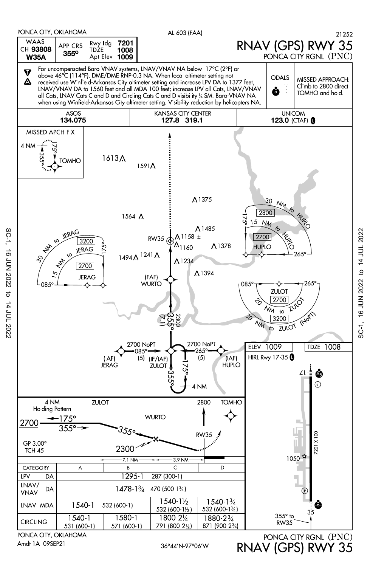

Amdt 1A 09SEP21

SC-1, 16 JUN 2022 to 14 JUL 2022

 $\vec{\sigma}$ 

14 JUL 2022

16 JUN 2022

 $SC-1$ ,

PONCA CITY, OKLAHOMA<br>PONCA CITY RGNL (PNC) RNAV (GPS) RWY 35

36°44'N-97°06'W